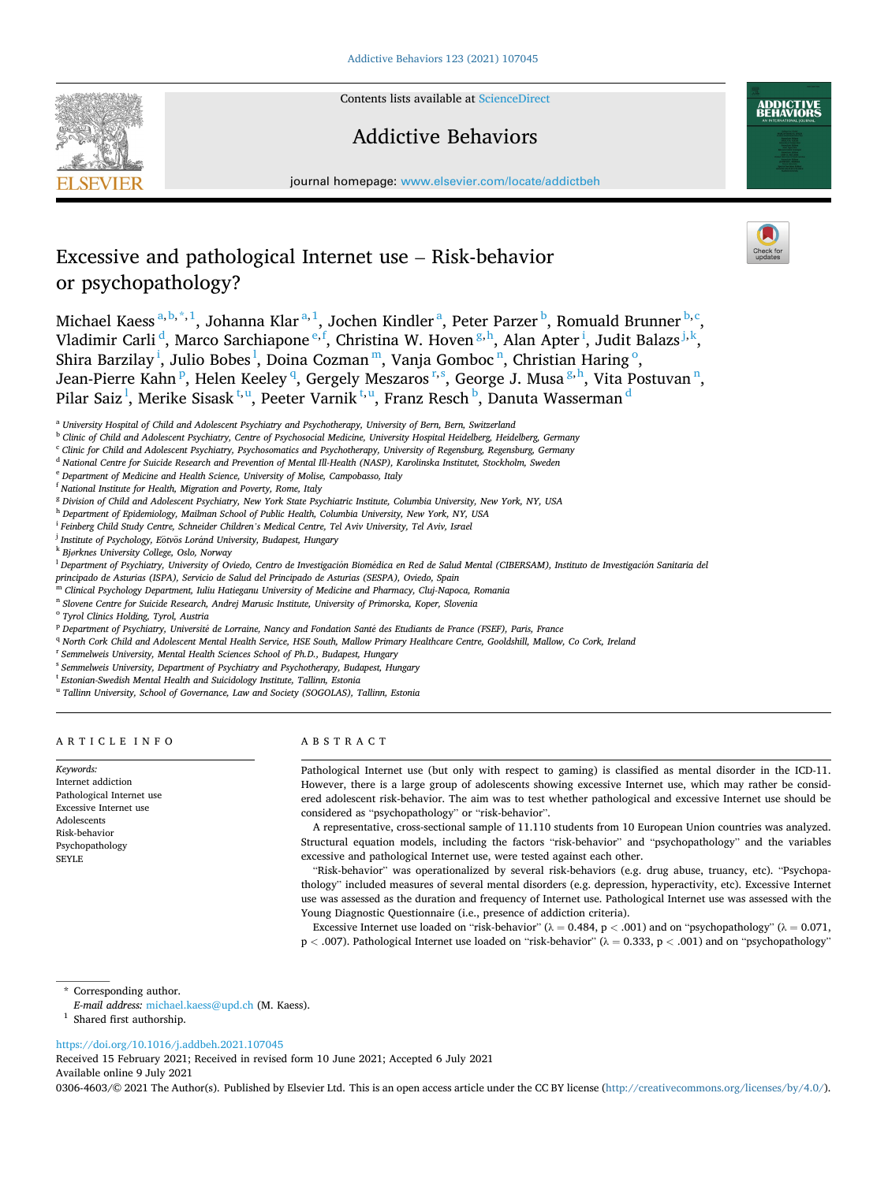**SEVIER** 



# Addictive Behaviors



journal homepage: [www.elsevier.com/locate/addictbeh](https://www.elsevier.com/locate/addictbeh) 

# Excessive and pathological Internet use – Risk-behavior or psychopathology?

Michael Kaess<sup>a, b,\*,1</sup>, Johanna Klar<sup>a,1</sup>, Jochen Kindler<sup>a</sup>, Peter Parzer<sup>b</sup>, Romuald Brunner<sup>b,c</sup>, Vladimir Carli<sup>d</sup>, Marco Sarchiapone<sup>e, f</sup>, Christina W. Hoven<sup>g, h</sup>, Alan Apter<sup>i</sup>, Judit Balazs<sup>j, k</sup>, Shira Barzilay <sup>i</sup>, Julio Bobes <sup>l</sup>, Doina Cozman <sup>m</sup>, Vanja Gomboc <sup>n</sup>, Christian Haring <sup>o</sup>, Jean-Pierre Kahn <sup>p</sup>, Helen Keeley <sup>q</sup>, Gergely Meszaros <u>r,s, George J. Musa <sup>g,h</sup>,</u> Vita Postuvan <sup>n</sup>, Pilar Saiz<sup>1</sup>, Merike Sisask<sup>t,u</sup>, Peeter Varnik<sup>t,u</sup>, Franz Resch<sup>b</sup>, Danuta Wasserman<sup>d</sup>

- <sup>i</sup> *Feinberg Child Study Centre, Schneider Children's Medical Centre, Tel Aviv University, Tel Aviv, Israel*
- <sup>j</sup> Institute of Psychology, Eötvös Loránd University, Budapest, Hungary
- <sup>k</sup> *Bjørknes University College, Oslo, Norway*
- <sup>1</sup> Department of Psychiatry, University of Oviedo, Centro de Investigación Biomédica en Red de Salud Mental (CIBERSAM), Instituto de Investigación Sanitaria del
- *principado de Asturias (ISPA), Servicio de Salud del Principado de Asturias (SESPA), Oviedo, Spain* <sup>m</sup> *Clinical Psychology Department, Iuliu Hatieganu University of Medicine and Pharmacy, Cluj-Napoca, Romania*
- <sup>n</sup> *Slovene Centre for Suicide Research, Andrej Marusic Institute, University of Primorska, Koper, Slovenia*
- 
- <sup>o</sup> *Tyrol Clinics Holding, Tyrol, Austria*
- <sup>p</sup> *Department of Psychiatry, Universit*´*e de Lorraine, Nancy and Fondation Sant*´*e des Etudiants de France (FSEF), Paris, France*
- <sup>q</sup> *North Cork Child and Adolescent Mental Health Service, HSE South, Mallow Primary Healthcare Centre, Gooldshill, Mallow, Co Cork, Ireland*
- <sup>r</sup> *Semmelweis University, Mental Health Sciences School of Ph.D., Budapest, Hungary*
- <sup>s</sup> *Semmelweis University, Department of Psychiatry and Psychotherapy, Budapest, Hungary*
- <sup>t</sup> *Estonian-Swedish Mental Health and Suicidology Institute, Tallinn, Estonia*
- <sup>u</sup> *Tallinn University, School of Governance, Law and Society (SOGOLAS), Tallinn, Estonia*

#### ARTICLE INFO

*Keywords:*  Internet addiction Pathological Internet use Excessive Internet use Adolescents Risk-behavior Psychopathology SEYLE

# ABSTRACT

Pathological Internet use (but only with respect to gaming) is classified as mental disorder in the ICD-11. However, there is a large group of adolescents showing excessive Internet use, which may rather be considered adolescent risk-behavior. The aim was to test whether pathological and excessive Internet use should be considered as "psychopathology" or "risk-behavior".

A representative, cross-sectional sample of 11.110 students from 10 European Union countries was analyzed. Structural equation models, including the factors "risk-behavior" and "psychopathology" and the variables excessive and pathological Internet use, were tested against each other.

"Risk-behavior" was operationalized by several risk-behaviors (e.g. drug abuse, truancy, etc). "Psychopathology" included measures of several mental disorders (e.g. depression, hyperactivity, etc). Excessive Internet use was assessed as the duration and frequency of Internet use. Pathological Internet use was assessed with the Young Diagnostic Questionnaire (i.e., presence of addiction criteria).

Excessive Internet use loaded on "risk-behavior" (λ = 0.484, p *<* .001) and on "psychopathology" (λ = 0.071, p *<* .007). Pathological Internet use loaded on "risk-behavior" (λ = 0.333, p *<* .001) and on "psychopathology"

\* Corresponding author.

- *E-mail address:* [michael.kaess@upd.ch](mailto:michael.kaess@upd.ch) (M. Kaess). 1 Shared first authorship.
- 

### <https://doi.org/10.1016/j.addbeh.2021.107045>

Available online 9 July 2021 Received 15 February 2021; Received in revised form 10 June 2021; Accepted 6 July 2021

0306-4603/© 2021 The Author(s). Published by Elsevier Ltd. This is an open access article under the CC BY license [\(http://creativecommons.org/licenses/by/4.0/\)](http://creativecommons.org/licenses/by/4.0/).

<sup>a</sup> *University Hospital of Child and Adolescent Psychiatry and Psychotherapy, University of Bern, Bern, Switzerland* 

<sup>b</sup> *Clinic of Child and Adolescent Psychiatry, Centre of Psychosocial Medicine, University Hospital Heidelberg, Heidelberg, Germany* 

<sup>c</sup> *Clinic for Child and Adolescent Psychiatry, Psychosomatics and Psychotherapy, University of Regensburg, Regensburg, Germany* 

<sup>d</sup> *National Centre for Suicide Research and Prevention of Mental Ill-Health (NASP), Karolinska Institutet, Stockholm, Sweden* 

<sup>e</sup> *Department of Medicine and Health Science, University of Molise, Campobasso, Italy* 

<sup>f</sup> *National Institute for Health, Migration and Poverty, Rome, Italy* 

<sup>g</sup> *Division of Child and Adolescent Psychiatry, New York State Psychiatric Institute, Columbia University, New York, NY, USA* 

<sup>h</sup> *Department of Epidemiology, Mailman School of Public Health, Columbia University, New York, NY, USA*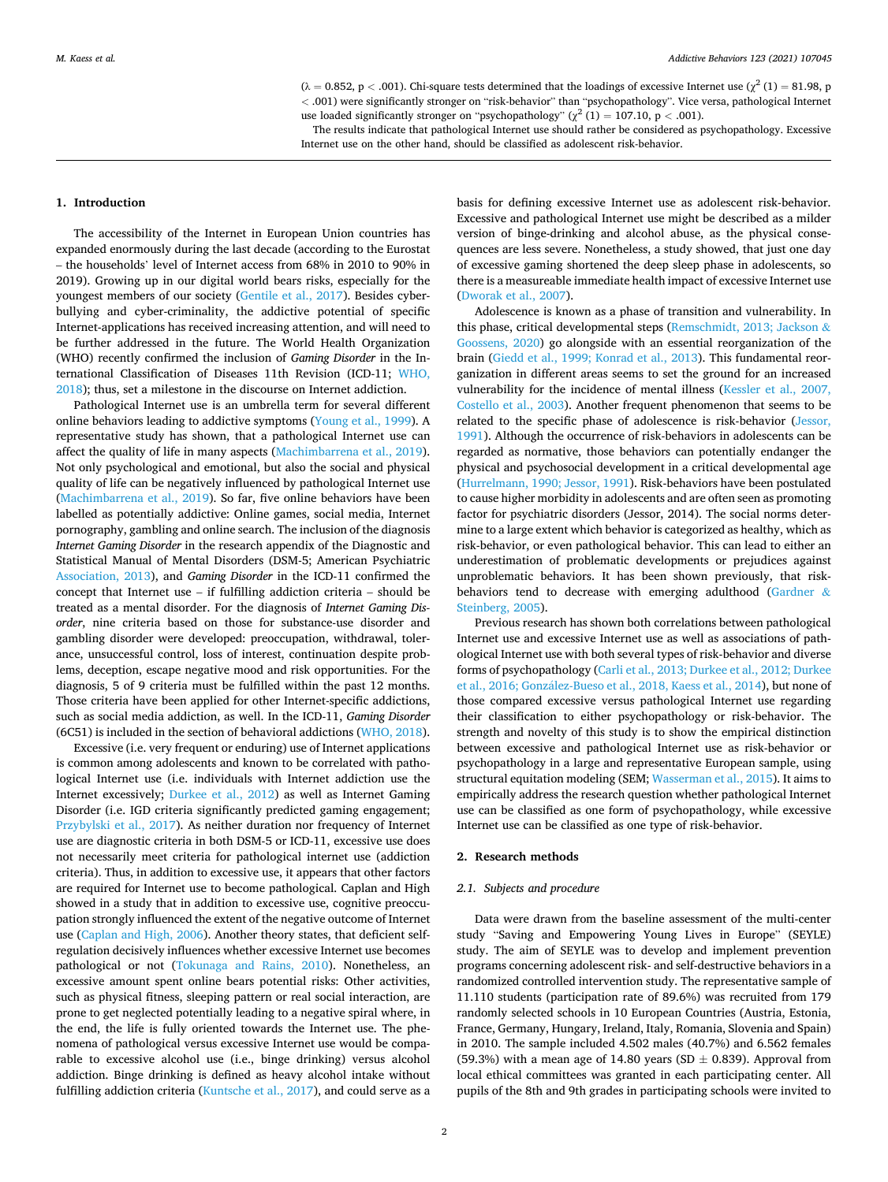$(\lambda = 0.852, p < .001)$ . Chi-square tests determined that the loadings of excessive Internet use  $(\chi^2(1) = 81.98, p$ *<* .001) were significantly stronger on "risk-behavior" than "psychopathology". Vice versa, pathological Internet use loaded significantly stronger on "psychopathology" ( $\chi^2$  (1) = 107.10, p < .001).

The results indicate that pathological Internet use should rather be considered as psychopathology. Excessive

Internet use on the other hand, should be classified as adolescent risk-behavior.

#### **1. Introduction**

The accessibility of the Internet in European Union countries has expanded enormously during the last decade (according to the Eurostat – the households' level of Internet access from 68% in 2010 to 90% in 2019). Growing up in our digital world bears risks, especially for the youngest members of our society [\(Gentile et al., 2017](#page-5-0)). Besides cyberbullying and cyber-criminality, the addictive potential of specific Internet-applications has received increasing attention, and will need to be further addressed in the future. The World Health Organization (WHO) recently confirmed the inclusion of *Gaming Disorder* in the International Classification of Diseases 11th Revision (ICD-11; [WHO,](#page-5-0)  [2018\)](#page-5-0); thus, set a milestone in the discourse on Internet addiction.

Pathological Internet use is an umbrella term for several different online behaviors leading to addictive symptoms [\(Young et al., 1999\)](#page-5-0). A representative study has shown, that a pathological Internet use can affect the quality of life in many aspects [\(Machimbarrena et al., 2019](#page-5-0)). Not only psychological and emotional, but also the social and physical quality of life can be negatively influenced by pathological Internet use ([Machimbarrena et al., 2019](#page-5-0)). So far, five online behaviors have been labelled as potentially addictive: Online games, social media, Internet pornography, gambling and online search. The inclusion of the diagnosis *Internet Gaming Disorder* in the research appendix of the Diagnostic and Statistical Manual of Mental Disorders (DSM-5; American Psychiatric [Association, 2013](#page-5-0)), and *Gaming Disorder* in the ICD-11 confirmed the concept that Internet use – if fulfilling addiction criteria – should be treated as a mental disorder. For the diagnosis of *Internet Gaming Disorder*, nine criteria based on those for substance-use disorder and gambling disorder were developed: preoccupation, withdrawal, tolerance, unsuccessful control, loss of interest, continuation despite problems, deception, escape negative mood and risk opportunities. For the diagnosis, 5 of 9 criteria must be fulfilled within the past 12 months. Those criteria have been applied for other Internet-specific addictions, such as social media addiction, as well. In the ICD-11, *Gaming Disorder*  (6C51) is included in the section of behavioral addictions [\(WHO, 2018](#page-5-0)).

Excessive (i.e. very frequent or enduring) use of Internet applications is common among adolescents and known to be correlated with pathological Internet use (i.e. individuals with Internet addiction use the Internet excessively; [Durkee et al., 2012](#page-5-0)) as well as Internet Gaming Disorder (i.e. IGD criteria significantly predicted gaming engagement; [Przybylski et al., 2017](#page-5-0)). As neither duration nor frequency of Internet use are diagnostic criteria in both DSM-5 or ICD-11, excessive use does not necessarily meet criteria for pathological internet use (addiction criteria). Thus, in addition to excessive use, it appears that other factors are required for Internet use to become pathological. Caplan and High showed in a study that in addition to excessive use, cognitive preoccupation strongly influenced the extent of the negative outcome of Internet use ([Caplan and High, 2006\)](#page-5-0). Another theory states, that deficient selfregulation decisively influences whether excessive Internet use becomes pathological or not [\(Tokunaga and Rains, 2010](#page-5-0)). Nonetheless, an excessive amount spent online bears potential risks: Other activities, such as physical fitness, sleeping pattern or real social interaction, are prone to get neglected potentially leading to a negative spiral where, in the end, the life is fully oriented towards the Internet use. The phenomena of pathological versus excessive Internet use would be comparable to excessive alcohol use (i.e., binge drinking) versus alcohol addiction. Binge drinking is defined as heavy alcohol intake without fulfilling addiction criteria [\(Kuntsche et al., 2017](#page-5-0)), and could serve as a

basis for defining excessive Internet use as adolescent risk-behavior. Excessive and pathological Internet use might be described as a milder version of binge-drinking and alcohol abuse, as the physical consequences are less severe. Nonetheless, a study showed, that just one day of excessive gaming shortened the deep sleep phase in adolescents, so there is a measureable immediate health impact of excessive Internet use ([Dworak et al., 2007\)](#page-5-0).

Adolescence is known as a phase of transition and vulnerability. In this phase, critical developmental steps [\(Remschmidt, 2013; Jackson](#page-5-0) & [Goossens, 2020](#page-5-0)) go alongside with an essential reorganization of the brain ([Giedd et al., 1999; Konrad et al., 2013](#page-5-0)). This fundamental reorganization in different areas seems to set the ground for an increased vulnerability for the incidence of mental illness ([Kessler et al., 2007,](#page-5-0)  [Costello et al., 2003\)](#page-5-0). Another frequent phenomenon that seems to be related to the specific phase of adolescence is risk-behavior ([Jessor,](#page-5-0)  [1991\)](#page-5-0). Although the occurrence of risk-behaviors in adolescents can be regarded as normative, those behaviors can potentially endanger the physical and psychosocial development in a critical developmental age ([Hurrelmann, 1990; Jessor, 1991\)](#page-5-0). Risk-behaviors have been postulated to cause higher morbidity in adolescents and are often seen as promoting factor for psychiatric disorders (Jessor, 2014). The social norms determine to a large extent which behavior is categorized as healthy, which as risk-behavior, or even pathological behavior. This can lead to either an underestimation of problematic developments or prejudices against unproblematic behaviors. It has been shown previously, that riskbehaviors tend to decrease with emerging adulthood ([Gardner](#page-5-0) & [Steinberg, 2005](#page-5-0)).

Previous research has shown both correlations between pathological Internet use and excessive Internet use as well as associations of pathological Internet use with both several types of risk-behavior and diverse forms of psychopathology [\(Carli et al., 2013; Durkee et al., 2012; Durkee](#page-5-0)  et al., 2016; González-Bueso et al., 2018, Kaess et al., 2014), but none of those compared excessive versus pathological Internet use regarding their classification to either psychopathology or risk-behavior. The strength and novelty of this study is to show the empirical distinction between excessive and pathological Internet use as risk-behavior or psychopathology in a large and representative European sample, using structural equitation modeling (SEM; [Wasserman et al., 2015](#page-5-0)). It aims to empirically address the research question whether pathological Internet use can be classified as one form of psychopathology, while excessive Internet use can be classified as one type of risk-behavior.

### **2. Research methods**

## *2.1. Subjects and procedure*

Data were drawn from the baseline assessment of the multi-center study "Saving and Empowering Young Lives in Europe" (SEYLE) study. The aim of SEYLE was to develop and implement prevention programs concerning adolescent risk- and self-destructive behaviors in a randomized controlled intervention study. The representative sample of 11.110 students (participation rate of 89.6%) was recruited from 179 randomly selected schools in 10 European Countries (Austria, Estonia, France, Germany, Hungary, Ireland, Italy, Romania, Slovenia and Spain) in 2010. The sample included 4.502 males (40.7%) and 6.562 females (59.3%) with a mean age of 14.80 years (SD  $\pm$  0.839). Approval from local ethical committees was granted in each participating center. All pupils of the 8th and 9th grades in participating schools were invited to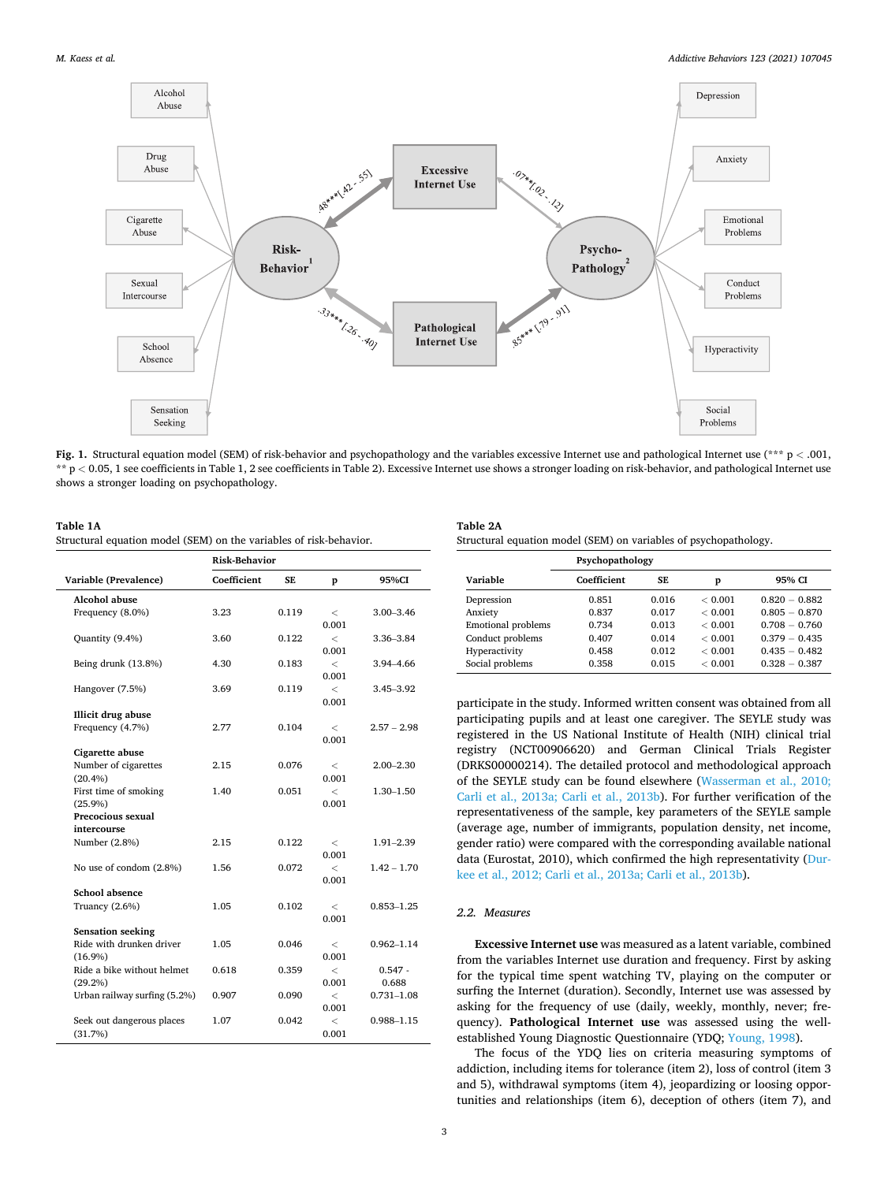<span id="page-2-0"></span>

**Fig. 1.** Structural equation model (SEM) of risk-behavior and psychopathology and the variables excessive Internet use and pathological Internet use (\*\*\* p *<* .001, \*\* p *<* 0.05, 1 see coefficients in Table 1, 2 see coefficients in Table 2). Excessive Internet use shows a stronger loading on risk-behavior, and pathological Internet use shows a stronger loading on psychopathology.

#### **Table 1A**

Structural equation model (SEM) on the variables of risk-behavior.

|                                               | <b>Risk-Behavior</b> |       |                          |                |
|-----------------------------------------------|----------------------|-------|--------------------------|----------------|
| Variable (Prevalence)                         | Coefficient          | SE.   | p                        | 95%CI          |
| Alcohol abuse                                 |                      |       |                          |                |
| Frequency (8.0%)                              | 3.23                 | 0.119 | $\,<\,$                  | $3.00 - 3.46$  |
|                                               |                      |       | 0.001                    |                |
| Quantity (9.4%)                               | 3.60                 | 0.122 | $\overline{\phantom{a}}$ | 3.36-3.84      |
|                                               |                      |       | 0.001                    |                |
| Being drunk (13.8%)                           | 4.30                 | 0.183 | $\,<\,$                  | 3.94-4.66      |
|                                               |                      |       | 0.001                    |                |
| Hangover (7.5%)                               | 3.69                 | 0.119 | $\overline{\phantom{a}}$ | 3.45-3.92      |
|                                               |                      |       | 0.001                    |                |
| Illicit drug abuse                            |                      |       |                          |                |
| Frequency (4.7%)                              | 2.77                 | 0.104 | $\,<\,$                  | $2.57 - 2.98$  |
|                                               |                      |       | 0.001                    |                |
| Cigarette abuse                               |                      |       |                          |                |
| Number of cigarettes                          | 2.15                 | 0.076 | $\,<\,$                  | $2.00 - 2.30$  |
| (20.4%)                                       |                      |       | 0.001                    |                |
| First time of smoking                         | 1.40                 | 0.051 | $\overline{\phantom{a}}$ | $1.30 - 1.50$  |
| $(25.9\%)$                                    |                      |       | 0.001                    |                |
| Precocious sexual                             |                      |       |                          |                |
| intercourse                                   |                      |       |                          |                |
| Number (2.8%)                                 | 2.15                 | 0.122 | $\,<\,$                  | $1.91 - 2.39$  |
|                                               |                      |       | 0.001                    |                |
| No use of condom (2.8%)                       | 1.56                 | 0.072 | $\overline{\phantom{a}}$ | $1.42 - 1.70$  |
|                                               |                      |       | 0.001                    |                |
| School absence                                |                      |       |                          |                |
| Truancy (2.6%)                                | 1.05                 | 0.102 | $\,<\,$                  | $0.853 - 1.25$ |
|                                               |                      |       | 0.001                    |                |
| Sensation seeking<br>Ride with drunken driver |                      |       |                          |                |
|                                               | 1.05                 | 0.046 | $\,<\,$                  | $0.962 - 1.14$ |
| $(16.9\%)$                                    |                      |       | 0.001                    |                |
| Ride a bike without helmet                    | 0.618                | 0.359 | $\,<\,$                  | $0.547 -$      |
| $(29.2\%)$                                    |                      |       | 0.001                    | 0.688          |
| Urban railway surfing (5.2%)                  | 0.907                | 0.090 | $\lt$                    | 0.731-1.08     |
|                                               |                      |       | 0.001                    |                |
| Seek out dangerous places                     | 1.07                 | 0.042 | $\,<\,$                  | 0.988-1.15     |
| (31.7%)                                       |                      |       | 0.001                    |                |

| Table 2A |  |
|----------|--|
|          |  |

| Structural equation model (SEM) on variables of psychopathology. |  |  |  |  |
|------------------------------------------------------------------|--|--|--|--|
|------------------------------------------------------------------|--|--|--|--|

|                           | Psychopathology |           |         |                 |
|---------------------------|-----------------|-----------|---------|-----------------|
| Variable                  | Coefficient     | <b>SE</b> | p       | 95% CI          |
| Depression                | 0.851           | 0.016     | < 0.001 | $0.820 - 0.882$ |
| Anxiety                   | 0.837           | 0.017     | < 0.001 | $0.805 - 0.870$ |
| <b>Emotional problems</b> | 0.734           | 0.013     | < 0.001 | $0.708 - 0.760$ |
| Conduct problems          | 0.407           | 0.014     | < 0.001 | $0.379 - 0.435$ |
| Hyperactivity             | 0.458           | 0.012     | < 0.001 | $0.435 - 0.482$ |
| Social problems           | 0.358           | 0.015     | < 0.001 | $0.328 - 0.387$ |

participate in the study. Informed written consent was obtained from all participating pupils and at least one caregiver. The SEYLE study was registered in the US National Institute of Health (NIH) clinical trial registry (NCT00906620) and German Clinical Trials Register (DRKS00000214). The detailed protocol and methodological approach of the SEYLE study can be found elsewhere [\(Wasserman et al., 2010;](#page-5-0)  [Carli et al., 2013a; Carli et al., 2013b\)](#page-5-0). For further verification of the representativeness of the sample, key parameters of the SEYLE sample (average age, number of immigrants, population density, net income, gender ratio) were compared with the corresponding available national data (Eurostat, 2010), which confirmed the high representativity ([Dur](#page-5-0)[kee et al., 2012; Carli et al., 2013a; Carli et al., 2013b](#page-5-0)).

# *2.2. Measures*

**Excessive Internet use** was measured as a latent variable, combined from the variables Internet use duration and frequency. First by asking for the typical time spent watching TV, playing on the computer or surfing the Internet (duration). Secondly, Internet use was assessed by asking for the frequency of use (daily, weekly, monthly, never; frequency). **Pathological Internet use** was assessed using the wellestablished Young Diagnostic Questionnaire (YDQ; [Young, 1998\)](#page-6-0).

The focus of the YDQ lies on criteria measuring symptoms of addiction, including items for tolerance (item 2), loss of control (item 3 and 5), withdrawal symptoms (item 4), jeopardizing or loosing opportunities and relationships (item 6), deception of others (item 7), and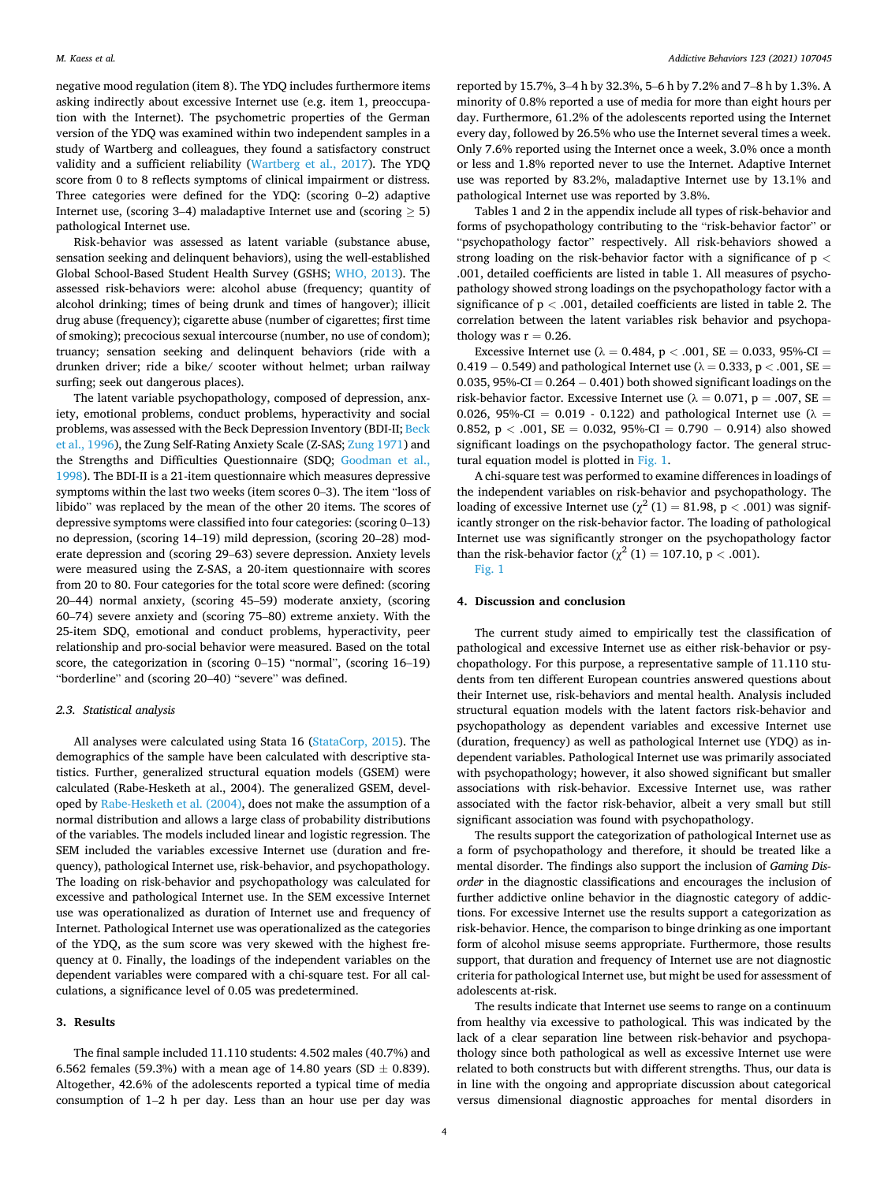negative mood regulation (item 8). The YDQ includes furthermore items asking indirectly about excessive Internet use (e.g. item 1, preoccupation with the Internet). The psychometric properties of the German version of the YDQ was examined within two independent samples in a study of Wartberg and colleagues, they found a satisfactory construct validity and a sufficient reliability [\(Wartberg et al., 2017\)](#page-5-0). The YDQ score from 0 to 8 reflects symptoms of clinical impairment or distress. Three categories were defined for the YDQ: (scoring 0–2) adaptive Internet use, (scoring 3–4) maladaptive Internet use and (scoring  $\geq$  5) pathological Internet use.

Risk-behavior was assessed as latent variable (substance abuse, sensation seeking and delinquent behaviors), using the well-established Global School-Based Student Health Survey (GSHS; [WHO, 2013](#page-5-0)). The assessed risk-behaviors were: alcohol abuse (frequency; quantity of alcohol drinking; times of being drunk and times of hangover); illicit drug abuse (frequency); cigarette abuse (number of cigarettes; first time of smoking); precocious sexual intercourse (number, no use of condom); truancy; sensation seeking and delinquent behaviors (ride with a drunken driver; ride a bike/ scooter without helmet; urban railway surfing; seek out dangerous places).

The latent variable psychopathology, composed of depression, anxiety, emotional problems, conduct problems, hyperactivity and social problems, was assessed with the Beck Depression Inventory (BDI-II; [Beck](#page-5-0)  [et al., 1996\)](#page-5-0), the Zung Self-Rating Anxiety Scale (Z-SAS; [Zung 1971\)](#page-6-0) and the Strengths and Difficulties Questionnaire (SDQ; [Goodman et al.,](#page-5-0)  [1998\)](#page-5-0). The BDI-II is a 21-item questionnaire which measures depressive symptoms within the last two weeks (item scores 0–3). The item "loss of libido" was replaced by the mean of the other 20 items. The scores of depressive symptoms were classified into four categories: (scoring 0–13) no depression, (scoring 14–19) mild depression, (scoring 20–28) moderate depression and (scoring 29–63) severe depression. Anxiety levels were measured using the Z-SAS, a 20-item questionnaire with scores from 20 to 80. Four categories for the total score were defined: (scoring 20–44) normal anxiety, (scoring 45–59) moderate anxiety, (scoring 60–74) severe anxiety and (scoring 75–80) extreme anxiety. With the 25-item SDQ, emotional and conduct problems, hyperactivity, peer relationship and pro-social behavior were measured. Based on the total score, the categorization in (scoring 0–15) "normal", (scoring 16–19) "borderline" and (scoring 20–40) "severe" was defined.

# *2.3. Statistical analysis*

All analyses were calculated using Stata 16 ([StataCorp, 2015](#page-5-0)). The demographics of the sample have been calculated with descriptive statistics. Further, generalized structural equation models (GSEM) were calculated (Rabe-Hesketh at al., 2004). The generalized GSEM, developed by [Rabe-Hesketh et al. \(2004\)](#page-5-0), does not make the assumption of a normal distribution and allows a large class of probability distributions of the variables. The models included linear and logistic regression. The SEM included the variables excessive Internet use (duration and frequency), pathological Internet use, risk-behavior, and psychopathology. The loading on risk-behavior and psychopathology was calculated for excessive and pathological Internet use. In the SEM excessive Internet use was operationalized as duration of Internet use and frequency of Internet. Pathological Internet use was operationalized as the categories of the YDQ, as the sum score was very skewed with the highest frequency at 0. Finally, the loadings of the independent variables on the dependent variables were compared with a chi-square test. For all calculations, a significance level of 0.05 was predetermined.

# **3. Results**

The final sample included 11.110 students: 4.502 males (40.7%) and 6.562 females (59.3%) with a mean age of 14.80 years (SD  $\pm$  0.839). Altogether, 42.6% of the adolescents reported a typical time of media consumption of 1–2 h per day. Less than an hour use per day was reported by 15.7%, 3–4 h by 32.3%, 5–6 h by 7.2% and 7–8 h by 1.3%. A minority of 0.8% reported a use of media for more than eight hours per day. Furthermore, 61.2% of the adolescents reported using the Internet every day, followed by 26.5% who use the Internet several times a week. Only 7.6% reported using the Internet once a week, 3.0% once a month or less and 1.8% reported never to use the Internet. Adaptive Internet use was reported by 83.2%, maladaptive Internet use by 13.1% and pathological Internet use was reported by 3.8%.

Tables 1 and 2 in the appendix include all types of risk-behavior and forms of psychopathology contributing to the "risk-behavior factor" or "psychopathology factor" respectively. All risk-behaviors showed a strong loading on the risk-behavior factor with a significance of p *<* .001, detailed coefficients are listed in table 1. All measures of psychopathology showed strong loadings on the psychopathology factor with a significance of p *<* .001, detailed coefficients are listed in table 2. The correlation between the latent variables risk behavior and psychopathology was  $r = 0.26$ .

Excessive Internet use  $(\lambda = 0.484, p < .001, SE = 0.033, 95\% \text{-Cl} =$ 0.419 – 0.549) and pathological Internet use ( $\lambda = 0.333$ , p < .001, SE = 0.035, 95%-CI =  $0.264 - 0.401$  both showed significant loadings on the risk-behavior factor. Excessive Internet use ( $\lambda = 0.071$ ,  $p = .007$ , SE = 0.026, 95%-CI = 0.019 - 0.122) and pathological Internet use ( $\lambda$  = 0.852, p *<* .001, SE = 0.032, 95%-CI = 0.790 − 0.914) also showed significant loadings on the psychopathology factor. The general structural equation model is plotted in [Fig. 1.](#page-2-0)

A chi-square test was performed to examine differences in loadings of the independent variables on risk-behavior and psychopathology. The loading of excessive Internet use  $\left(\chi^2(1)\right) = 81.98$ , p < .001) was significantly stronger on the risk-behavior factor. The loading of pathological Internet use was significantly stronger on the psychopathology factor than the risk-behavior factor  $(\chi^2 (1) = 107.10, p < .001)$ .

[Fig. 1](#page-2-0) 

# **4. Discussion and conclusion**

The current study aimed to empirically test the classification of pathological and excessive Internet use as either risk-behavior or psychopathology. For this purpose, a representative sample of 11.110 students from ten different European countries answered questions about their Internet use, risk-behaviors and mental health. Analysis included structural equation models with the latent factors risk-behavior and psychopathology as dependent variables and excessive Internet use (duration, frequency) as well as pathological Internet use (YDQ) as independent variables. Pathological Internet use was primarily associated with psychopathology; however, it also showed significant but smaller associations with risk-behavior. Excessive Internet use, was rather associated with the factor risk-behavior, albeit a very small but still significant association was found with psychopathology.

The results support the categorization of pathological Internet use as a form of psychopathology and therefore, it should be treated like a mental disorder. The findings also support the inclusion of *Gaming Disorder* in the diagnostic classifications and encourages the inclusion of further addictive online behavior in the diagnostic category of addictions. For excessive Internet use the results support a categorization as risk-behavior. Hence, the comparison to binge drinking as one important form of alcohol misuse seems appropriate. Furthermore, those results support, that duration and frequency of Internet use are not diagnostic criteria for pathological Internet use, but might be used for assessment of adolescents at-risk.

The results indicate that Internet use seems to range on a continuum from healthy via excessive to pathological. This was indicated by the lack of a clear separation line between risk-behavior and psychopathology since both pathological as well as excessive Internet use were related to both constructs but with different strengths. Thus, our data is in line with the ongoing and appropriate discussion about categorical versus dimensional diagnostic approaches for mental disorders in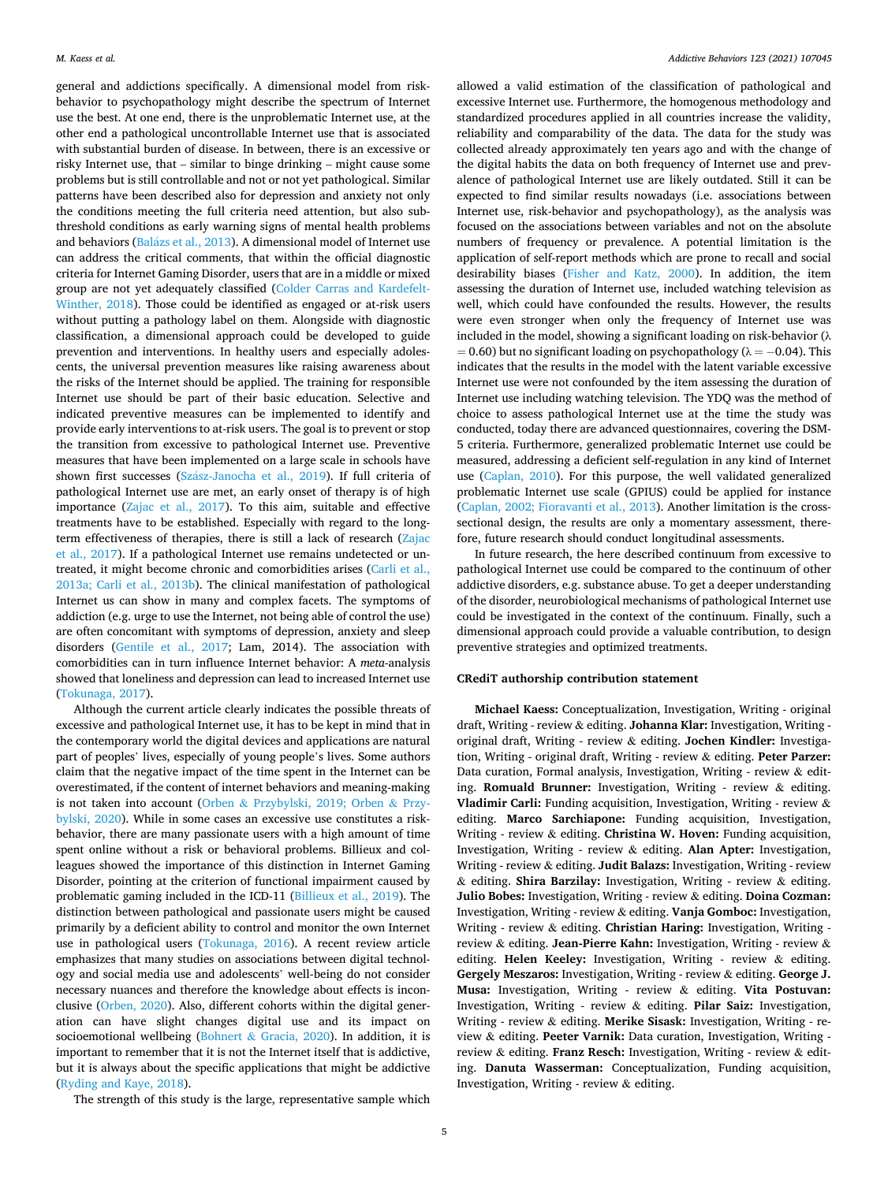general and addictions specifically. A dimensional model from riskbehavior to psychopathology might describe the spectrum of Internet use the best. At one end, there is the unproblematic Internet use, at the other end a pathological uncontrollable Internet use that is associated with substantial burden of disease. In between, there is an excessive or risky Internet use, that – similar to binge drinking – might cause some problems but is still controllable and not or not yet pathological. Similar patterns have been described also for depression and anxiety not only the conditions meeting the full criteria need attention, but also subthreshold conditions as early warning signs of mental health problems and behaviors (Balázs et al., 2013). A dimensional model of Internet use can address the critical comments, that within the official diagnostic criteria for Internet Gaming Disorder, users that are in a middle or mixed group are not yet adequately classified [\(Colder Carras and Kardefelt-](#page-5-0)[Winther, 2018\)](#page-5-0). Those could be identified as engaged or at-risk users without putting a pathology label on them. Alongside with diagnostic classification, a dimensional approach could be developed to guide prevention and interventions. In healthy users and especially adolescents, the universal prevention measures like raising awareness about the risks of the Internet should be applied. The training for responsible Internet use should be part of their basic education. Selective and indicated preventive measures can be implemented to identify and provide early interventions to at-risk users. The goal is to prevent or stop the transition from excessive to pathological Internet use. Preventive measures that have been implemented on a large scale in schools have shown first successes (Szász-Janocha et al., 2019). If full criteria of pathological Internet use are met, an early onset of therapy is of high importance ([Zajac et al., 2017](#page-6-0)). To this aim, suitable and effective treatments have to be established. Especially with regard to the longterm effectiveness of therapies, there is still a lack of research ([Zajac](#page-6-0)  [et al., 2017\)](#page-6-0). If a pathological Internet use remains undetected or untreated, it might become chronic and comorbidities arises ([Carli et al.,](#page-5-0)  [2013a; Carli et al., 2013b\)](#page-5-0). The clinical manifestation of pathological Internet us can show in many and complex facets. The symptoms of addiction (e.g. urge to use the Internet, not being able of control the use) are often concomitant with symptoms of depression, anxiety and sleep disorders ([Gentile et al., 2017](#page-5-0); Lam, 2014). The association with comorbidities can in turn influence Internet behavior: A *meta*-analysis showed that loneliness and depression can lead to increased Internet use ([Tokunaga, 2017\)](#page-5-0).

Although the current article clearly indicates the possible threats of excessive and pathological Internet use, it has to be kept in mind that in the contemporary world the digital devices and applications are natural part of peoples' lives, especially of young people's lives. Some authors claim that the negative impact of the time spent in the Internet can be overestimated, if the content of internet behaviors and meaning-making is not taken into account (Orben & [Przybylski, 2019; Orben](#page-5-0) & Przy[bylski, 2020](#page-5-0)). While in some cases an excessive use constitutes a riskbehavior, there are many passionate users with a high amount of time spent online without a risk or behavioral problems. Billieux and colleagues showed the importance of this distinction in Internet Gaming Disorder, pointing at the criterion of functional impairment caused by problematic gaming included in the ICD-11 ([Billieux et al., 2019\)](#page-5-0). The distinction between pathological and passionate users might be caused primarily by a deficient ability to control and monitor the own Internet use in pathological users ([Tokunaga, 2016\)](#page-5-0). A recent review article emphasizes that many studies on associations between digital technology and social media use and adolescents' well-being do not consider necessary nuances and therefore the knowledge about effects is inconclusive ([Orben, 2020](#page-5-0)). Also, different cohorts within the digital generation can have slight changes digital use and its impact on socioemotional wellbeing (Bohnert & [Gracia, 2020](#page-5-0)). In addition, it is important to remember that it is not the Internet itself that is addictive, but it is always about the specific applications that might be addictive ([Ryding and Kaye, 2018](#page-5-0)).

allowed a valid estimation of the classification of pathological and excessive Internet use. Furthermore, the homogenous methodology and standardized procedures applied in all countries increase the validity, reliability and comparability of the data. The data for the study was collected already approximately ten years ago and with the change of the digital habits the data on both frequency of Internet use and prevalence of pathological Internet use are likely outdated. Still it can be expected to find similar results nowadays (i.e. associations between Internet use, risk-behavior and psychopathology), as the analysis was focused on the associations between variables and not on the absolute numbers of frequency or prevalence. A potential limitation is the application of self-report methods which are prone to recall and social desirability biases ([Fisher and Katz, 2000](#page-5-0)). In addition, the item assessing the duration of Internet use, included watching television as well, which could have confounded the results. However, the results were even stronger when only the frequency of Internet use was included in the model, showing a significant loading on risk-behavior ( $\lambda$  $= 0.60$ ) but no significant loading on psychopathology ( $\lambda = -0.04$ ). This indicates that the results in the model with the latent variable excessive Internet use were not confounded by the item assessing the duration of Internet use including watching television. The YDQ was the method of choice to assess pathological Internet use at the time the study was conducted, today there are advanced questionnaires, covering the DSM-5 criteria. Furthermore, generalized problematic Internet use could be measured, addressing a deficient self-regulation in any kind of Internet use ([Caplan, 2010](#page-5-0)). For this purpose, the well validated generalized problematic Internet use scale (GPIUS) could be applied for instance ([Caplan, 2002; Fioravanti et al., 2013](#page-5-0)). Another limitation is the crosssectional design, the results are only a momentary assessment, therefore, future research should conduct longitudinal assessments.

In future research, the here described continuum from excessive to pathological Internet use could be compared to the continuum of other addictive disorders, e.g. substance abuse. To get a deeper understanding of the disorder, neurobiological mechanisms of pathological Internet use could be investigated in the context of the continuum. Finally, such a dimensional approach could provide a valuable contribution, to design preventive strategies and optimized treatments.

# **CRediT authorship contribution statement**

**Michael Kaess:** Conceptualization, Investigation, Writing - original draft, Writing - review & editing. **Johanna Klar:** Investigation, Writing original draft, Writing - review & editing. **Jochen Kindler:** Investigation, Writing - original draft, Writing - review & editing. **Peter Parzer:**  Data curation, Formal analysis, Investigation, Writing - review & editing. **Romuald Brunner:** Investigation, Writing - review & editing. **Vladimir Carli:** Funding acquisition, Investigation, Writing - review & editing. **Marco Sarchiapone:** Funding acquisition, Investigation, Writing - review & editing. **Christina W. Hoven:** Funding acquisition, Investigation, Writing - review & editing. **Alan Apter:** Investigation, Writing - review & editing. **Judit Balazs:** Investigation, Writing - review & editing. **Shira Barzilay:** Investigation, Writing - review & editing. **Julio Bobes:** Investigation, Writing - review & editing. **Doina Cozman:**  Investigation, Writing - review & editing. **Vanja Gomboc:** Investigation, Writing - review & editing. **Christian Haring:** Investigation, Writing review & editing. **Jean-Pierre Kahn:** Investigation, Writing - review & editing. **Helen Keeley:** Investigation, Writing - review & editing. **Gergely Meszaros:** Investigation, Writing - review & editing. **George J. Musa:** Investigation, Writing - review & editing. **Vita Postuvan:**  Investigation, Writing - review & editing. **Pilar Saiz:** Investigation, Writing - review & editing. **Merike Sisask:** Investigation, Writing - review & editing. **Peeter Varnik:** Data curation, Investigation, Writing review & editing. **Franz Resch:** Investigation, Writing - review & editing. **Danuta Wasserman:** Conceptualization, Funding acquisition, Investigation, Writing - review & editing.

The strength of this study is the large, representative sample which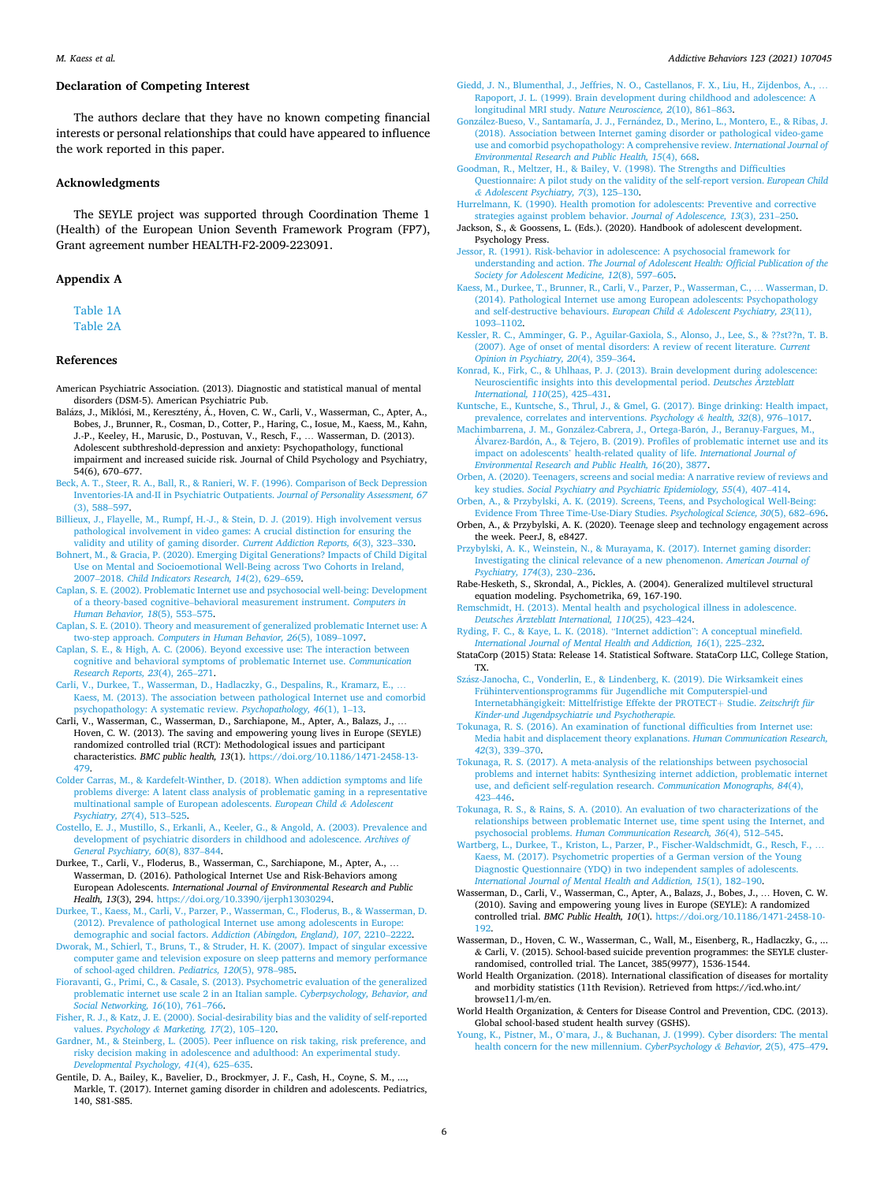### <span id="page-5-0"></span>**Declaration of Competing Interest**

The authors declare that they have no known competing financial interests or personal relationships that could have appeared to influence the work reported in this paper.

#### **Acknowledgments**

The SEYLE project was supported through Coordination Theme 1 (Health) of the European Union Seventh Framework Program (FP7), Grant agreement number HEALTH-F2-2009-223091.

#### **Appendix A**

[Table 1A](#page-2-0) [Table 2A](#page-2-0)

#### **References**

- American Psychiatric Association. (2013). Diagnostic and statistical manual of mental disorders (DSM-5). American Psychiatric Pub.
- Balázs, J., Miklósi, M., Keresztény, Á., Hoven, C. W., Carli, V., Wasserman, C., Apter, A., Bobes, J., Brunner, R., Cosman, D., Cotter, P., Haring, C., Iosue, M., Kaess, M., Kahn, J.-P., Keeley, H., Marusic, D., Postuvan, V., Resch, F., … Wasserman, D. (2013). Adolescent subthreshold-depression and anxiety: Psychopathology, functional impairment and increased suicide risk. Journal of Child Psychology and Psychiatry, 54(6), 670–677.
- [Beck, A. T., Steer, R. A., Ball, R., & Ranieri, W. F. \(1996\). Comparison of Beck Depression](http://refhub.elsevier.com/S0306-4603(21)00230-6/h0015)  [Inventories-IA and-II in Psychiatric Outpatients.](http://refhub.elsevier.com/S0306-4603(21)00230-6/h0015) *Journal of Personality Assessment, 67*  [\(3\), 588](http://refhub.elsevier.com/S0306-4603(21)00230-6/h0015)–597.
- [Billieux, J., Flayelle, M., Rumpf, H.-J., & Stein, D. J. \(2019\). High involvement versus](http://refhub.elsevier.com/S0306-4603(21)00230-6/h0020)  [pathological involvement in video games: A crucial distinction for ensuring the](http://refhub.elsevier.com/S0306-4603(21)00230-6/h0020)  [validity and utility of gaming disorder.](http://refhub.elsevier.com/S0306-4603(21)00230-6/h0020) *Current Addiction Reports, 6*(3), 323–330.
- [Bohnert, M., & Gracia, P. \(2020\). Emerging Digital Generations? Impacts of Child Digital](http://refhub.elsevier.com/S0306-4603(21)00230-6/h0025)  [Use on Mental and Socioemotional Well-Being across Two Cohorts in Ireland,](http://refhub.elsevier.com/S0306-4603(21)00230-6/h0025) 2007–2018. *[Child Indicators Research, 14](http://refhub.elsevier.com/S0306-4603(21)00230-6/h0025)*(2), 629–659.
- [Caplan, S. E. \(2002\). Problematic Internet use and psychosocial well-being: Development](http://refhub.elsevier.com/S0306-4603(21)00230-6/h0030)  of a theory-based cognitive–[behavioral measurement instrument.](http://refhub.elsevier.com/S0306-4603(21)00230-6/h0030) *Computers in [Human Behavior, 18](http://refhub.elsevier.com/S0306-4603(21)00230-6/h0030)*(5), 553–575.
- [Caplan, S. E. \(2010\). Theory and measurement of generalized problematic Internet use: A](http://refhub.elsevier.com/S0306-4603(21)00230-6/h0035)  two-step approach. *[Computers in Human Behavior, 26](http://refhub.elsevier.com/S0306-4603(21)00230-6/h0035)*(5), 1089–1097.
- [Caplan, S. E., & High, A. C. \(2006\). Beyond excessive use: The interaction between](http://refhub.elsevier.com/S0306-4603(21)00230-6/h0040)  [cognitive and behavioral symptoms of problematic Internet use.](http://refhub.elsevier.com/S0306-4603(21)00230-6/h0040) *Communication [Research Reports, 23](http://refhub.elsevier.com/S0306-4603(21)00230-6/h0040)*(4), 265–271.
- [Carli, V., Durkee, T., Wasserman, D., Hadlaczky, G., Despalins, R., Kramarz, E.,](http://refhub.elsevier.com/S0306-4603(21)00230-6/h0045) … [Kaess, M. \(2013\). The association between pathological Internet use and comorbid](http://refhub.elsevier.com/S0306-4603(21)00230-6/h0045)  [psychopathology: A systematic review.](http://refhub.elsevier.com/S0306-4603(21)00230-6/h0045) *Psychopathology, 46*(1), 1–13.
- Carli, V., Wasserman, C., Wasserman, D., Sarchiapone, M., Apter, A., Balazs, J., … Hoven, C. W. (2013). The saving and empowering young lives in Europe (SEYLE) randomized controlled trial (RCT): Methodological issues and participant characteristics. *BMC public health, 13*(1). [https://doi.org/10.1186/1471-2458-13-](https://doi.org/10.1186/1471-2458-13-479)  [479](https://doi.org/10.1186/1471-2458-13-479).
- [Colder Carras, M., & Kardefelt-Winther, D. \(2018\). When addiction symptoms and life](http://refhub.elsevier.com/S0306-4603(21)00230-6/h0055)  [problems diverge: A latent class analysis of problematic gaming in a representative](http://refhub.elsevier.com/S0306-4603(21)00230-6/h0055)  [multinational sample of European adolescents.](http://refhub.elsevier.com/S0306-4603(21)00230-6/h0055) *European Child & Adolescent [Psychiatry, 27](http://refhub.elsevier.com/S0306-4603(21)00230-6/h0055)*(4), 513–525.
- [Costello, E. J., Mustillo, S., Erkanli, A., Keeler, G., & Angold, A. \(2003\). Prevalence and](http://refhub.elsevier.com/S0306-4603(21)00230-6/h0060)  [development of psychiatric disorders in childhood and adolescence.](http://refhub.elsevier.com/S0306-4603(21)00230-6/h0060) *Archives of [General Psychiatry, 60](http://refhub.elsevier.com/S0306-4603(21)00230-6/h0060)*(8), 837–844.
- Durkee, T., Carli, V., Floderus, B., Wasserman, C., Sarchiapone, M., Apter, A., … Wasserman, D. (2016). Pathological Internet Use and Risk-Behaviors among European Adolescents. *International Journal of Environmental Research and Public Health, 13*(3), 294. <https://doi.org/10.3390/ijerph13030294>.
- [Durkee, T., Kaess, M., Carli, V., Parzer, P., Wasserman, C., Floderus, B., & Wasserman, D.](http://refhub.elsevier.com/S0306-4603(21)00230-6/h0070)  (2012). Prevalence of pathological Internet use among adolescents in Europe demographic and social factors. *[Addiction \(Abingdon, England\), 107](http://refhub.elsevier.com/S0306-4603(21)00230-6/h0070)*, 2210–2222.
- [Dworak, M., Schierl, T., Bruns, T., & Struder, H. K. \(2007\). Impact of singular excessive](http://refhub.elsevier.com/S0306-4603(21)00230-6/h0075)  [computer game and television exposure on sleep patterns and memory performance](http://refhub.elsevier.com/S0306-4603(21)00230-6/h0075)  [of school-aged children.](http://refhub.elsevier.com/S0306-4603(21)00230-6/h0075) *Pediatrics, 120*(5), 978–985.
- [Fioravanti, G., Primi, C., & Casale, S. \(2013\). Psychometric evaluation of the generalized](http://refhub.elsevier.com/S0306-4603(21)00230-6/h0080)  [problematic internet use scale 2 in an Italian sample.](http://refhub.elsevier.com/S0306-4603(21)00230-6/h0080) *Cyberpsychology, Behavior, and [Social Networking, 16](http://refhub.elsevier.com/S0306-4603(21)00230-6/h0080)*(10), 761–766.
- [Fisher, R. J., & Katz, J. E. \(2000\). Social-desirability bias and the validity of self-reported](http://refhub.elsevier.com/S0306-4603(21)00230-6/h0085)  values. *Psychology & [Marketing, 17](http://refhub.elsevier.com/S0306-4603(21)00230-6/h0085)*(2), 105–120.
- [Gardner, M., & Steinberg, L. \(2005\). Peer influence on risk taking, risk preference, and](http://refhub.elsevier.com/S0306-4603(21)00230-6/h0090)  [risky decision making in adolescence and adulthood: An experimental study.](http://refhub.elsevier.com/S0306-4603(21)00230-6/h0090)  *[Developmental Psychology, 41](http://refhub.elsevier.com/S0306-4603(21)00230-6/h0090)*(4), 625–635.
- Gentile, D. A., Bailey, K., Bavelier, D., Brockmyer, J. F., Cash, H., Coyne, S. M., ..., Markle, T. (2017). Internet gaming disorder in children and adolescents. Pediatrics, 140, S81-S85.

#### *Addictive Behaviors 123 (2021) 107045*

- [Giedd, J. N., Blumenthal, J., Jeffries, N. O., Castellanos, F. X., Liu, H., Zijdenbos, A.,](http://refhub.elsevier.com/S0306-4603(21)00230-6/h0100) … [Rapoport, J. L. \(1999\). Brain development during childhood and adolescence: A](http://refhub.elsevier.com/S0306-4603(21)00230-6/h0100) [longitudinal MRI study.](http://refhub.elsevier.com/S0306-4603(21)00230-6/h0100) *Nature Neuroscience, 2*(10), 861–863.
- González-Bueso, V., Santamaría, J. J., Fernández, D., Merino, L., Montero, E., & Ribas, J. [\(2018\). Association between Internet gaming disorder or pathological video-game](http://refhub.elsevier.com/S0306-4603(21)00230-6/h0105) [use and comorbid psychopathology: A comprehensive review.](http://refhub.elsevier.com/S0306-4603(21)00230-6/h0105) *International Journal of [Environmental Research and Public Health, 15](http://refhub.elsevier.com/S0306-4603(21)00230-6/h0105)*(4), 668.
- [Goodman, R., Meltzer, H., & Bailey, V. \(1998\). The Strengths and Difficulties](http://refhub.elsevier.com/S0306-4603(21)00230-6/h0110)  [Questionnaire: A pilot study on the validity of the self-report version.](http://refhub.elsevier.com/S0306-4603(21)00230-6/h0110) *European Child & [Adolescent Psychiatry, 7](http://refhub.elsevier.com/S0306-4603(21)00230-6/h0110)*(3), 125–130.
- [Hurrelmann, K. \(1990\). Health promotion for adolescents: Preventive and corrective](http://refhub.elsevier.com/S0306-4603(21)00230-6/h0115)  [strategies against problem behavior.](http://refhub.elsevier.com/S0306-4603(21)00230-6/h0115) *Journal of Adolescence, 13*(3), 231–250.
- Jackson, S., & Goossens, L. (Eds.). (2020). Handbook of adolescent development. Psychology Press.
- [Jessor, R. \(1991\). Risk-behavior in adolescence: A psychosocial framework for](http://refhub.elsevier.com/S0306-4603(21)00230-6/h0125) understanding and action. *[The Journal of Adolescent Health: Official Publication of the](http://refhub.elsevier.com/S0306-4603(21)00230-6/h0125)  [Society for Adolescent Medicine, 12](http://refhub.elsevier.com/S0306-4603(21)00230-6/h0125)*(8), 597–605.
- [Kaess, M., Durkee, T., Brunner, R., Carli, V., Parzer, P., Wasserman, C.,](http://refhub.elsevier.com/S0306-4603(21)00230-6/h0130) … Wasserman, D. [\(2014\). Pathological Internet use among European adolescents: Psychopathology](http://refhub.elsevier.com/S0306-4603(21)00230-6/h0130)  [and self-destructive behaviours.](http://refhub.elsevier.com/S0306-4603(21)00230-6/h0130) *European Child & Adolescent Psychiatry, 23*(11), [1093](http://refhub.elsevier.com/S0306-4603(21)00230-6/h0130)–1102.
- [Kessler, R. C., Amminger, G. P., Aguilar-Gaxiola, S., Alonso, J., Lee, S., & ??st??n, T. B.](http://refhub.elsevier.com/S0306-4603(21)00230-6/h0135)  [\(2007\). Age of onset of mental disorders: A review of recent literature.](http://refhub.elsevier.com/S0306-4603(21)00230-6/h0135) *Current [Opinion in Psychiatry, 20](http://refhub.elsevier.com/S0306-4603(21)00230-6/h0135)*(4), 359–364.
- [Konrad, K., Firk, C., & Uhlhaas, P. J. \(2013\). Brain development during adolescence:](http://refhub.elsevier.com/S0306-4603(21)00230-6/h0140)  [Neuroscientific insights into this developmental period.](http://refhub.elsevier.com/S0306-4603(21)00230-6/h0140) *Deutsches Arzteblatt [International, 110](http://refhub.elsevier.com/S0306-4603(21)00230-6/h0140)*(25), 425–431.
- [Kuntsche, E., Kuntsche, S., Thrul, J., & Gmel, G. \(2017\). Binge drinking: Health impact,](http://refhub.elsevier.com/S0306-4603(21)00230-6/h0145)  [prevalence, correlates and interventions.](http://refhub.elsevier.com/S0306-4603(21)00230-6/h0145) *Psychology & health, 32*(8), 976–1017.
- Machimbarrena, J. M., González-Cabrera, J., Ortega-Barón, J., Beranuy-Fargues, M., Álvarez-Bardón, A., & Tejero, B. (2019). Profiles of problematic internet use and its impact on adolescents' [health-related quality of life.](http://refhub.elsevier.com/S0306-4603(21)00230-6/h0150) *International Journal of [Environmental Research and Public Health, 16](http://refhub.elsevier.com/S0306-4603(21)00230-6/h0150)*(20), 3877.
- [Orben, A. \(2020\). Teenagers, screens and social media: A narrative review of reviews and](http://refhub.elsevier.com/S0306-4603(21)00230-6/h0155)  key studies. *[Social Psychiatry and Psychiatric Epidemiology, 55](http://refhub.elsevier.com/S0306-4603(21)00230-6/h0155)*(4), 407–414.
- [Orben, A., & Przybylski, A. K. \(2019\). Screens, Teens, and Psychological Well-Being:](http://refhub.elsevier.com/S0306-4603(21)00230-6/h0160)  [Evidence From Three Time-Use-Diary Studies.](http://refhub.elsevier.com/S0306-4603(21)00230-6/h0160) *Psychological Science, 30*(5), 682–696.
- Orben, A., & Przybylski, A. K. (2020). Teenage sleep and technology engagement across the week. PeerJ, 8, e8427.
- [Przybylski, A. K., Weinstein, N., & Murayama, K. \(2017\). Internet gaming disorder:](http://refhub.elsevier.com/S0306-4603(21)00230-6/h0170) [Investigating the clinical relevance of a new phenomenon.](http://refhub.elsevier.com/S0306-4603(21)00230-6/h0170) *American Journal of [Psychiatry, 174](http://refhub.elsevier.com/S0306-4603(21)00230-6/h0170)*(3), 230–236.
- Rabe-Hesketh, S., Skrondal, A., Pickles, A. (2004). Generalized multilevel structural equation modeling. Psychometrika, 69, 167-190.
- [Remschmidt, H. \(2013\). Mental health and psychological illness in adolescence.](http://refhub.elsevier.com/S0306-4603(21)00230-6/h0180)  *Deutsches Ärzteblatt International, 110(25), 423–424.*
- [Ryding, F. C., & Kaye, L. K. \(2018\).](http://refhub.elsevier.com/S0306-4603(21)00230-6/h0185) "Internet addiction": A conceptual minefield. *[International Journal of Mental Health and Addiction, 16](http://refhub.elsevier.com/S0306-4603(21)00230-6/h0185)*(1), 225–232.
- StataCorp (2015) Stata: Release 14. Statistical Software. StataCorp LLC, College Station, TX.
- Szász-Janocha, C., Vonderlin, E., & Lindenberg, K. (2019). Die Wirksamkeit eines [Frühinterventionsprogramms für Jugendliche mit Computerspiel-und](http://refhub.elsevier.com/S0306-4603(21)00230-6/h0195)  Internetabhängigkeit: Mittelfristige Effekte der PROTECT+ Studie. Zeitschrift für *[Kinder-und Jugendpsychiatrie und Psychotherapie.](http://refhub.elsevier.com/S0306-4603(21)00230-6/h0195)*
- [Tokunaga, R. S. \(2016\). An examination of functional difficulties from Internet use:](http://refhub.elsevier.com/S0306-4603(21)00230-6/h0200) [Media habit and displacement theory explanations.](http://refhub.elsevier.com/S0306-4603(21)00230-6/h0200) *Human Communication Research, 42*[\(3\), 339](http://refhub.elsevier.com/S0306-4603(21)00230-6/h0200)–370.
- [Tokunaga, R. S. \(2017\). A meta-analysis of the relationships between psychosocial](http://refhub.elsevier.com/S0306-4603(21)00230-6/h0205) [problems and internet habits: Synthesizing internet addiction, problematic internet](http://refhub.elsevier.com/S0306-4603(21)00230-6/h0205) [use, and deficient self-regulation research.](http://refhub.elsevier.com/S0306-4603(21)00230-6/h0205) *Communication Monographs, 84*(4), 423–[446](http://refhub.elsevier.com/S0306-4603(21)00230-6/h0205).
- [Tokunaga, R. S., & Rains, S. A. \(2010\). An evaluation of two characterizations of the](http://refhub.elsevier.com/S0306-4603(21)00230-6/h0210) [relationships between problematic Internet use, time spent using the Internet, and](http://refhub.elsevier.com/S0306-4603(21)00230-6/h0210) psychosocial problems. *[Human Communication Research, 36](http://refhub.elsevier.com/S0306-4603(21)00230-6/h0210)*(4), 512–545.
- Wartberg, L., Durkee, T., Kriston, L., Parzer, P., Fischer-Waldschmidt, G., Resch, F., [Kaess, M. \(2017\). Psychometric properties of a German version of the Young](http://refhub.elsevier.com/S0306-4603(21)00230-6/h0215) [Diagnostic Questionnaire \(YDQ\) in two independent samples of adolescents.](http://refhub.elsevier.com/S0306-4603(21)00230-6/h0215)  *[International Journal of Mental Health and Addiction, 15](http://refhub.elsevier.com/S0306-4603(21)00230-6/h0215)*(1), 182–190.
- Wasserman, D., Carli, V., Wasserman, C., Apter, A., Balazs, J., Bobes, J., … Hoven, C. W. (2010). Saving and empowering young lives in Europe (SEYLE): A randomized controlled trial. *BMC Public Health, 10*(1). [https://doi.org/10.1186/1471-2458-10-](https://doi.org/10.1186/1471-2458-10-192)  [192](https://doi.org/10.1186/1471-2458-10-192).
- Wasserman, D., Hoven, C. W., Wasserman, C., Wall, M., Eisenberg, R., Hadlaczky, G., ... & Carli, V. (2015). School-based suicide prevention programmes: the SEYLE clusterrandomised, controlled trial. The Lancet, 385(9977), 1536-1544.
- World Health Organization. (2018). International classification of diseases for mortality and morbidity statistics (11th Revision). Retrieved from https://icd.who.int/ browse11/l-m/en.
- World Health Organization, & Centers for Disease Control and Prevention, CDC. (2013). Global school-based student health survey (GSHS).
- Young, K., Pistner, M., O'[mara, J., & Buchanan, J. \(1999\). Cyber disorders: The mental](http://refhub.elsevier.com/S0306-4603(21)00230-6/h0245)  [health concern for the new millennium.](http://refhub.elsevier.com/S0306-4603(21)00230-6/h0245) *CyberPsychology & Behavior, 2*(5), 475–479.